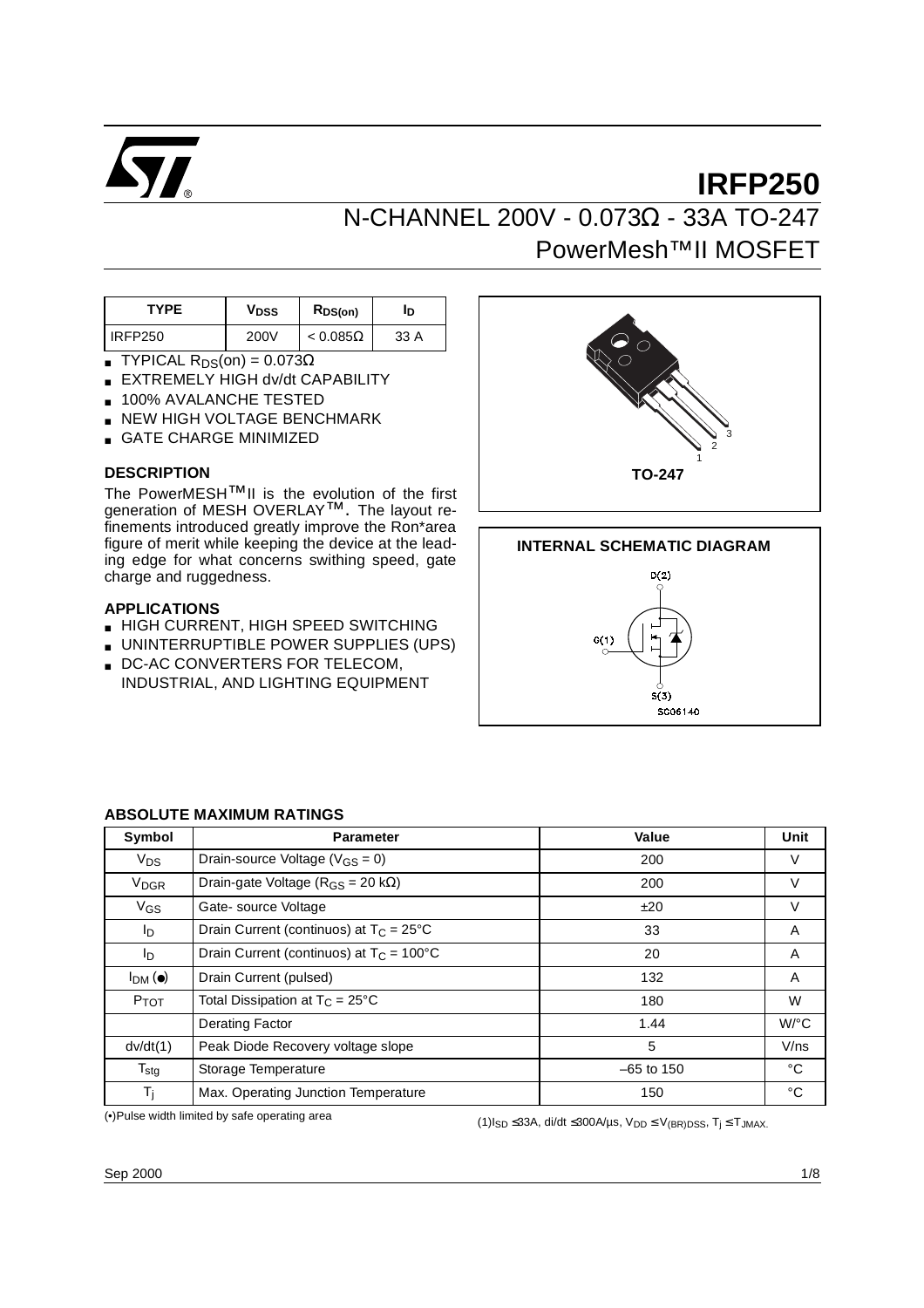

# **IRFP250** N-CHANNEL 200V - 0.073Ω - 33A TO-247 PowerMesh™II MOSFET

| TYPF    | V <sub>DSS</sub> | $R_{DS(on)}$    | םי   |
|---------|------------------|-----------------|------|
| IRFP250 | 200V             | $< 0.085\Omega$ | 33 A |

- **TYPICAL R**<sub>DS</sub>(on) =  $0.073\Omega$
- EXTREMELY HIGH dv/dt CAPABILITY
- 100% AVALANCHE TESTED
- **NEW HIGH VOLTAGE BENCHMARK**
- GATE CHARGE MINIMIZED

#### **DESCRIPTION**

The PowerMESH™II is the evolution of the first generation of MESH OVERLAY<sup>™</sup>. The layout refinements introduced greatly improve the Ron\*area figure of merit while keeping the device at the leading edge for what concerns swithing speed, gate charge and ruggedness.

#### **APPLICATIONS**

- HIGH CURRENT, HIGH SPEED SWITCHING
- UNINTERRUPTIBLE POWER SUPPLIES (UPS)
- DC-AC CONVERTERS FOR TELECOM, INDUSTRIAL, AND LIGHTING EQUIPMENT





| Symbol                 | <b>Parameter</b>                                  | Value        | Unit                 |
|------------------------|---------------------------------------------------|--------------|----------------------|
| $V_{DS}$               | Drain-source Voltage ( $V_{GS} = 0$ )             | 200          | V                    |
| <b>V<sub>DGR</sub></b> | Drain-gate Voltage ( $R_{GS}$ = 20 k $\Omega$ )   | 200          | V                    |
| V <sub>GS</sub>        | Gate-source Voltage                               | ±20          | V                    |
| l <sub>D</sub>         | Drain Current (continuos) at $T_C = 25^{\circ}C$  | 33           | A                    |
| l <sub>D</sub>         | Drain Current (continuos) at $T_C = 100^{\circ}C$ | 20           | A                    |
| $I_{DM}(\bullet)$      | Drain Current (pulsed)                            | 132          | A                    |
| <b>P</b> TOT           | Total Dissipation at $T_C = 25^{\circ}C$          | 180          | W                    |
|                        | <b>Derating Factor</b>                            | 1.44         | $W$ <sup>o</sup> $C$ |
| dv/dt(1)               | Peak Diode Recovery voltage slope                 | 5            | V/ns                 |
| $T_{\text{stg}}$       | Storage Temperature                               | $-65$ to 150 | °C                   |
| Τj                     | Max. Operating Junction Temperature               | 150          | °C                   |

#### **ABSOLUTE MAXIMUM RATINGS**

(•)Pulse width limited by safe operating area

(1) $I_{SD}$  ≤33A, di/dt ≤300A/ $\mu$ s,  $V_{DD}$  ≤  $V_{(BR)DSS}$ ,  $T_j$  ≤  $T_{JMAX}$ .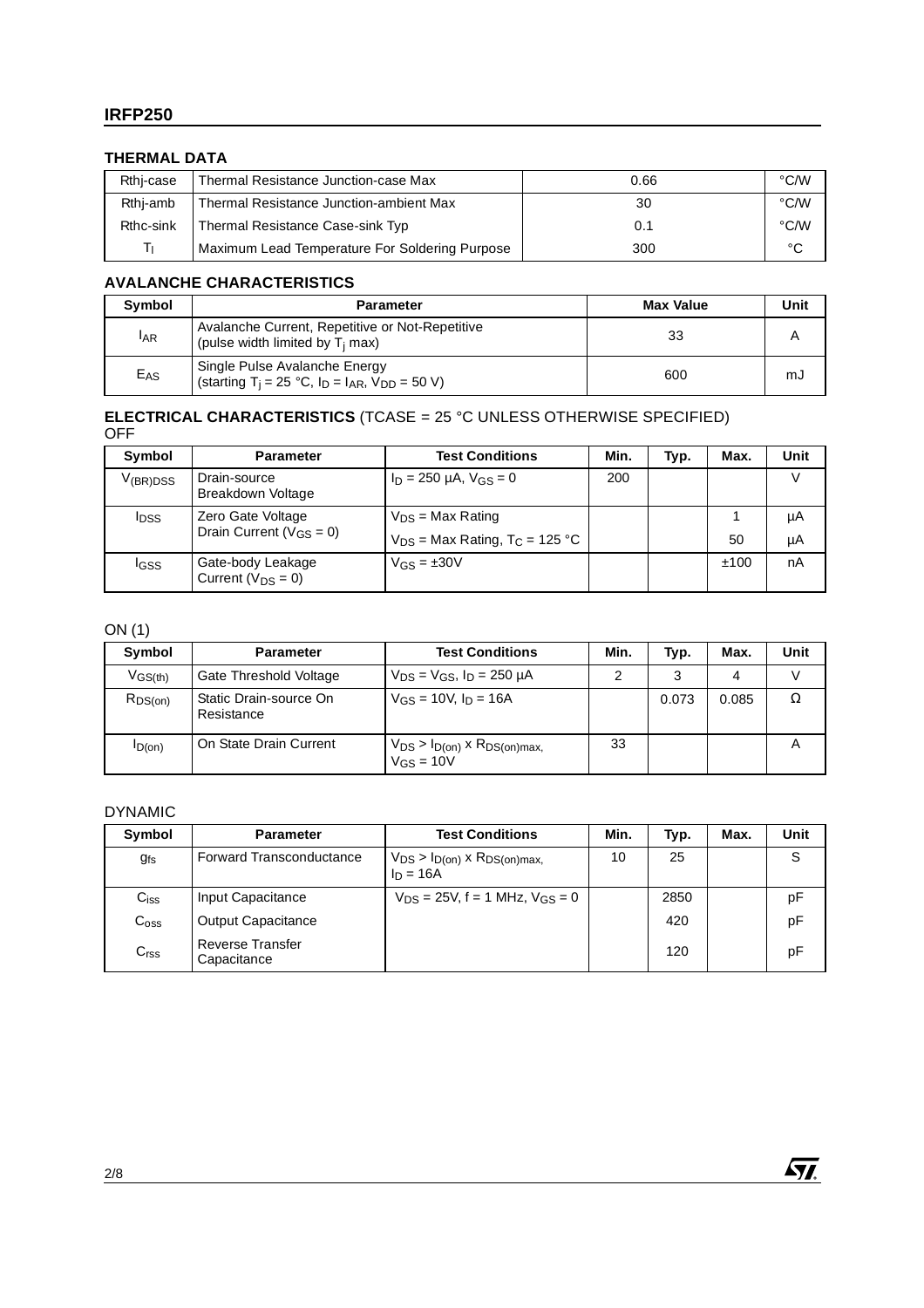## **IRFP250**

#### **THERMAL DATA**

| Rthi-case | Thermal Resistance Junction-case Max           | 0.66 | °C/W |
|-----------|------------------------------------------------|------|------|
| Rthi-amb  | Thermal Resistance Junction-ambient Max        | 30   | °C/W |
| Rthc-sink | Thermal Resistance Case-sink Typ               | 0.1  | °C/W |
| Tι        | Maximum Lead Temperature For Soldering Purpose | 300  | °C   |

#### **AVALANCHE CHARACTERISTICS**

| Symbol          | <b>Parameter</b>                                                                                       | <b>Max Value</b> | Unit |
|-----------------|--------------------------------------------------------------------------------------------------------|------------------|------|
| <b>IAR</b>      | Avalanche Current, Repetitive or Not-Repetitive<br>(pulse width limited by $T_i$ max)                  | 33               |      |
| E <sub>AS</sub> | Single Pulse Avalanche Energy<br>(starting T <sub>i</sub> = 25 °C, $I_D$ = $I_{AR}$ , $V_{DD}$ = 50 V) | 600              | mJ   |

#### **ELECTRICAL CHARACTERISTICS** (TCASE = 25 °C UNLESS OTHERWISE SPECIFIED) OFF

| Symbol        | <b>Parameter</b>                            | <b>Test Conditions</b>                         | Min. | Typ. | Max. | Unit |
|---------------|---------------------------------------------|------------------------------------------------|------|------|------|------|
| $V_{(BR)DSS}$ | Drain-source<br>Breakdown Voltage           | $I_D = 250 \mu A$ , $V_{GS} = 0$               | 200  |      |      | V    |
| <b>I</b> DSS  | Zero Gate Voltage                           | $V_{DS}$ = Max Rating                          |      |      |      | μA   |
|               | Drain Current ( $V_{GS} = 0$ )              | $V_{DS}$ = Max Rating, T <sub>C</sub> = 125 °C |      |      | 50   | μA   |
| IGSS          | Gate-body Leakage<br>Current $(V_{DS} = 0)$ | $V_{GS} = \pm 30V$                             |      |      | ±100 | nA   |

### ON (1)

| Symbol       | <b>Parameter</b>                     | <b>Test Conditions</b>                                                 | Min. | Typ.  | Max.  | Unit |
|--------------|--------------------------------------|------------------------------------------------------------------------|------|-------|-------|------|
| $V_{GS(th)}$ | Gate Threshold Voltage               | $V_{DS} = V_{GS}$ , $I_D = 250 \mu A$                                  |      | 3     | 4     |      |
| $R_{DS(on)}$ | Static Drain-source On<br>Resistance | $V_{GS}$ = 10V, $I_D$ = 16A                                            |      | 0.073 | 0.085 | Ω    |
| $I_{D(0n)}$  | On State Drain Current               | $V_{DS}$ > $I_{D(0n)}$ x $R_{DS(0n)max}$<br>$V$ <sub>GS</sub> = 10 $V$ | 33   |       |       |      |

### DYNAMIC

| Symbol           | <b>Parameter</b>                       | <b>Test Conditions</b>                                 | Min. | Typ. | Max. | Unit |
|------------------|----------------------------------------|--------------------------------------------------------|------|------|------|------|
| <b>g</b> fs      | <b>Forward Transconductance</b>        | $V_{DS}$ > $I_{D(on)}$ x $R_{DS(on)max}$<br>$ln = 16A$ | 10   | 25   |      | S    |
| $C_{iss}$        | Input Capacitance                      | $V_{DS}$ = 25V, f = 1 MHz, $V_{GS}$ = 0                |      | 2850 |      | pF   |
| $C_{\text{oss}}$ | <b>Output Capacitance</b>              |                                                        |      | 420  |      | pF   |
| C <sub>rss</sub> | <b>Reverse Transfer</b><br>Capacitance |                                                        |      | 120  |      | рF   |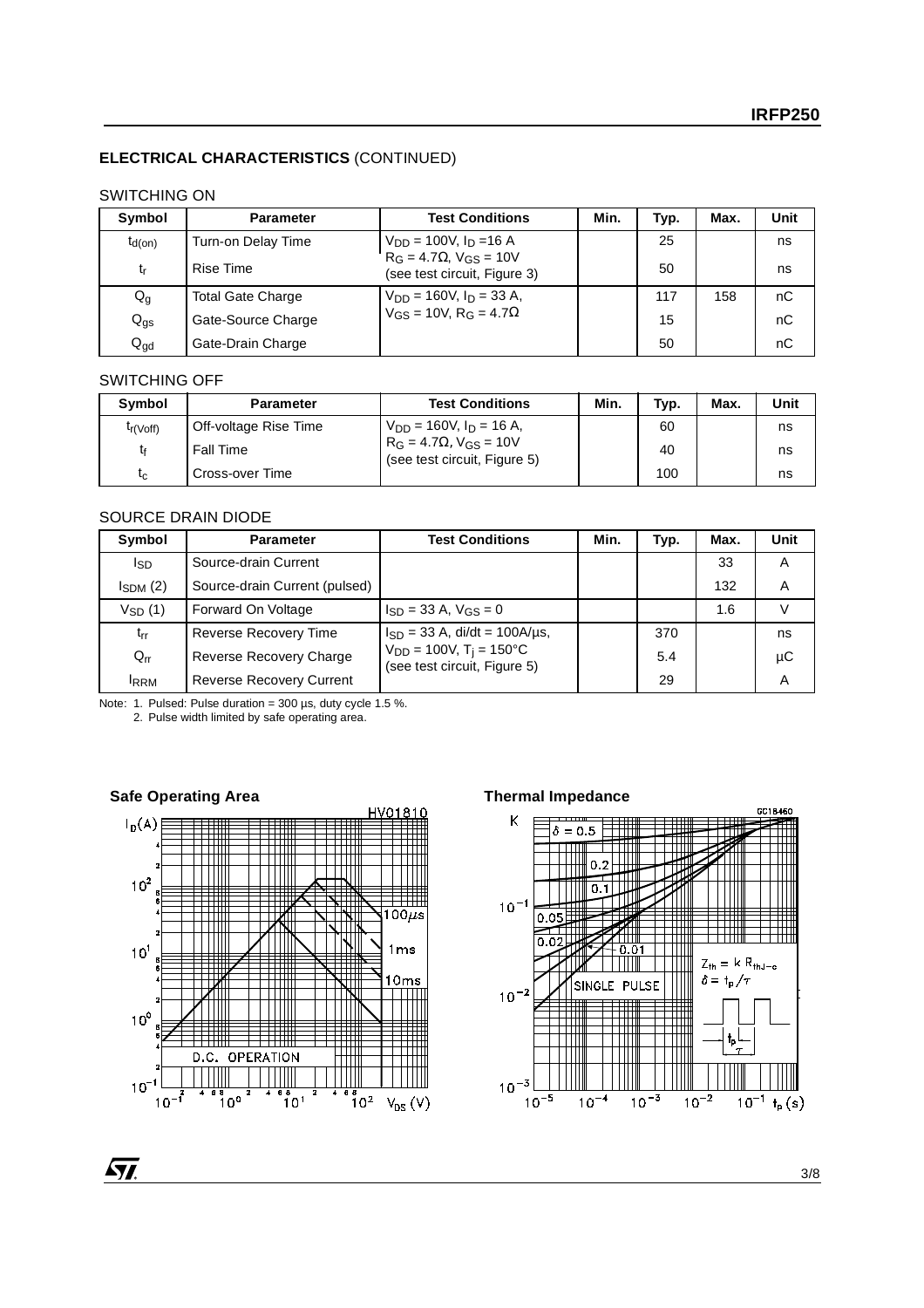#### **ELECTRICAL CHARACTERISTICS** (CONTINUED)

#### SWITCHING ON

| Symbol          | <b>Parameter</b>         | <b>Test Conditions</b>                                         | Min. | Typ. | Max. | Unit |
|-----------------|--------------------------|----------------------------------------------------------------|------|------|------|------|
| $t_{d(on)}$     | Turn-on Delay Time       | $V_{DD} = 100V$ , $I_D = 16 A$                                 |      | 25   |      | ns   |
| tr              | <b>Rise Time</b>         | $RG = 4.7\Omega$ , $VGS = 10V$<br>(see test circuit, Figure 3) |      | 50   |      | ns   |
| $Q_{q}$         | <b>Total Gate Charge</b> | $V_{DD} = 160V$ , $I_D = 33 A$ ,                               |      | 117  | 158  | nC   |
| $Q_{\text{gs}}$ | Gate-Source Charge       | $V_{GS} = 10V$ , R <sub>G</sub> = 4.7 $\Omega$                 |      | 15   |      | nC   |
| $Q_{\text{gd}}$ | Gate-Drain Charge        |                                                                |      | 50   |      | nC   |

#### SWITCHING OFF

| Symbol                | <b>Parameter</b>      | <b>Test Conditions</b>                                             | Min. | Typ. | Max. | Unit |
|-----------------------|-----------------------|--------------------------------------------------------------------|------|------|------|------|
| t <sub>r</sub> (Voff) | Off-voltage Rise Time | $V_{DD} = 160V$ , $I_D = 16 A$ ,                                   |      | 60   |      | ns   |
| t۴                    | <b>Fall Time</b>      | $R_G = 4.7\Omega$ , $V_{GS} = 10V$<br>(see test circuit, Figure 5) |      | 40   |      | ns   |
| $t_c$                 | Cross-over Time       |                                                                    |      | 100  |      | ns   |

#### SOURCE DRAIN DIODE

| Symbol          | <b>Parameter</b>                | <b>Test Conditions</b>                                                 | Min. | Typ. | Max. | Unit |
|-----------------|---------------------------------|------------------------------------------------------------------------|------|------|------|------|
| I <sub>SD</sub> | Source-drain Current            |                                                                        |      |      | 33   | Α    |
| $I_{SDM}$ $(2)$ | Source-drain Current (pulsed)   |                                                                        |      |      | 132  | A    |
| $V_{SD}(1)$     | Forward On Voltage              | $I_{SD} = 33$ A, $V_{GS} = 0$                                          |      |      | 1.6  | V    |
| $t_{rr}$        | Reverse Recovery Time           | $I_{SD} = 33$ A, di/dt = 100A/µs,                                      |      | 370  |      | ns   |
| $Q_{rr}$        | Reverse Recovery Charge         | $V_{DD} = 100V$ , $T_i = 150^{\circ}C$<br>(see test circuit, Figure 5) |      | 5.4  |      | μC   |
| <b>IRRM</b>     | <b>Reverse Recovery Current</b> |                                                                        |      | 29   |      | Α    |

Note: 1. Pulsed: Pulse duration =  $300 \,\mu s$ , duty cycle 1.5 %.

2. Pulse width limited by safe operating area.



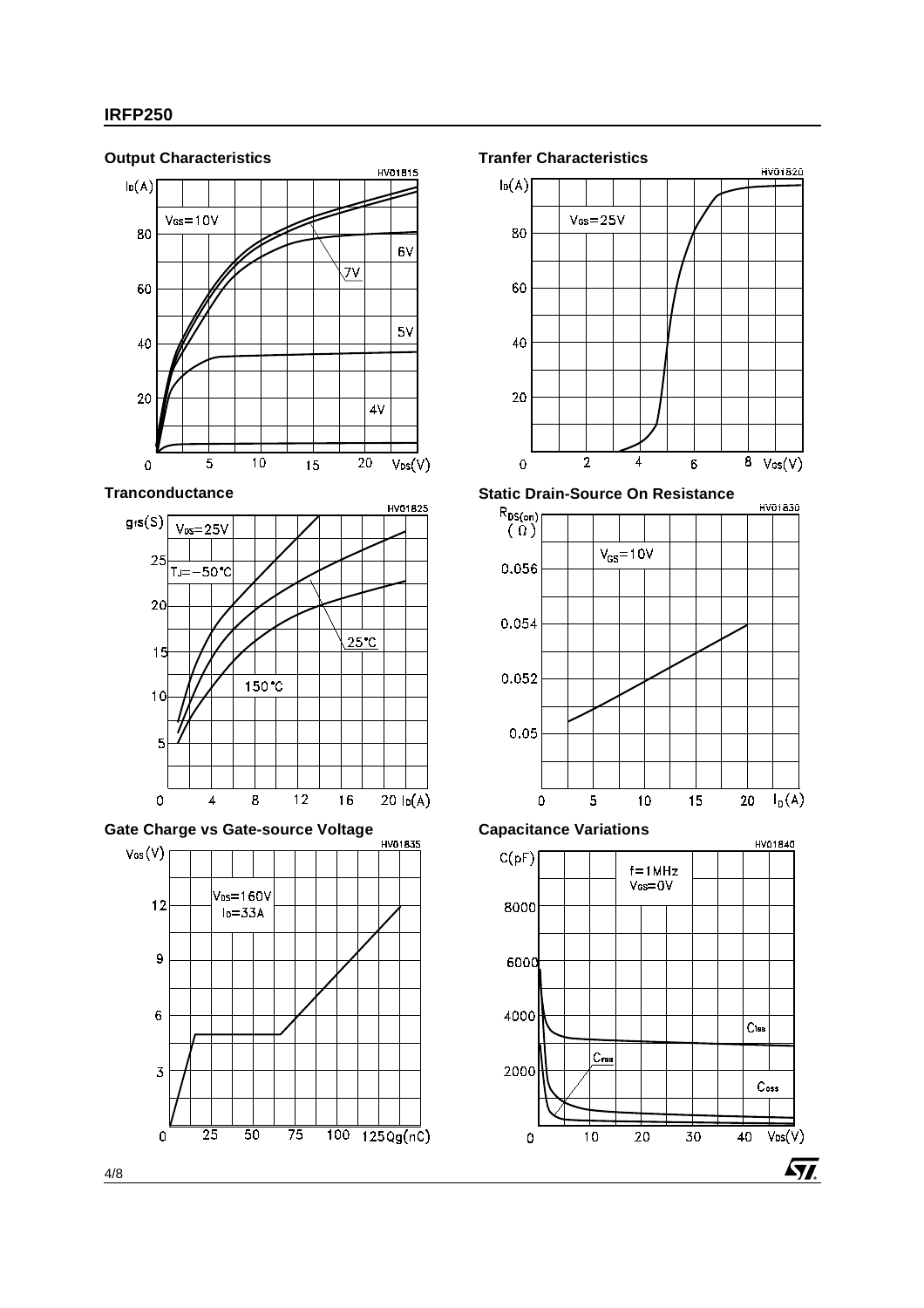

**Tranconductance**



**Gate Charge vs Gate-source Voltage**



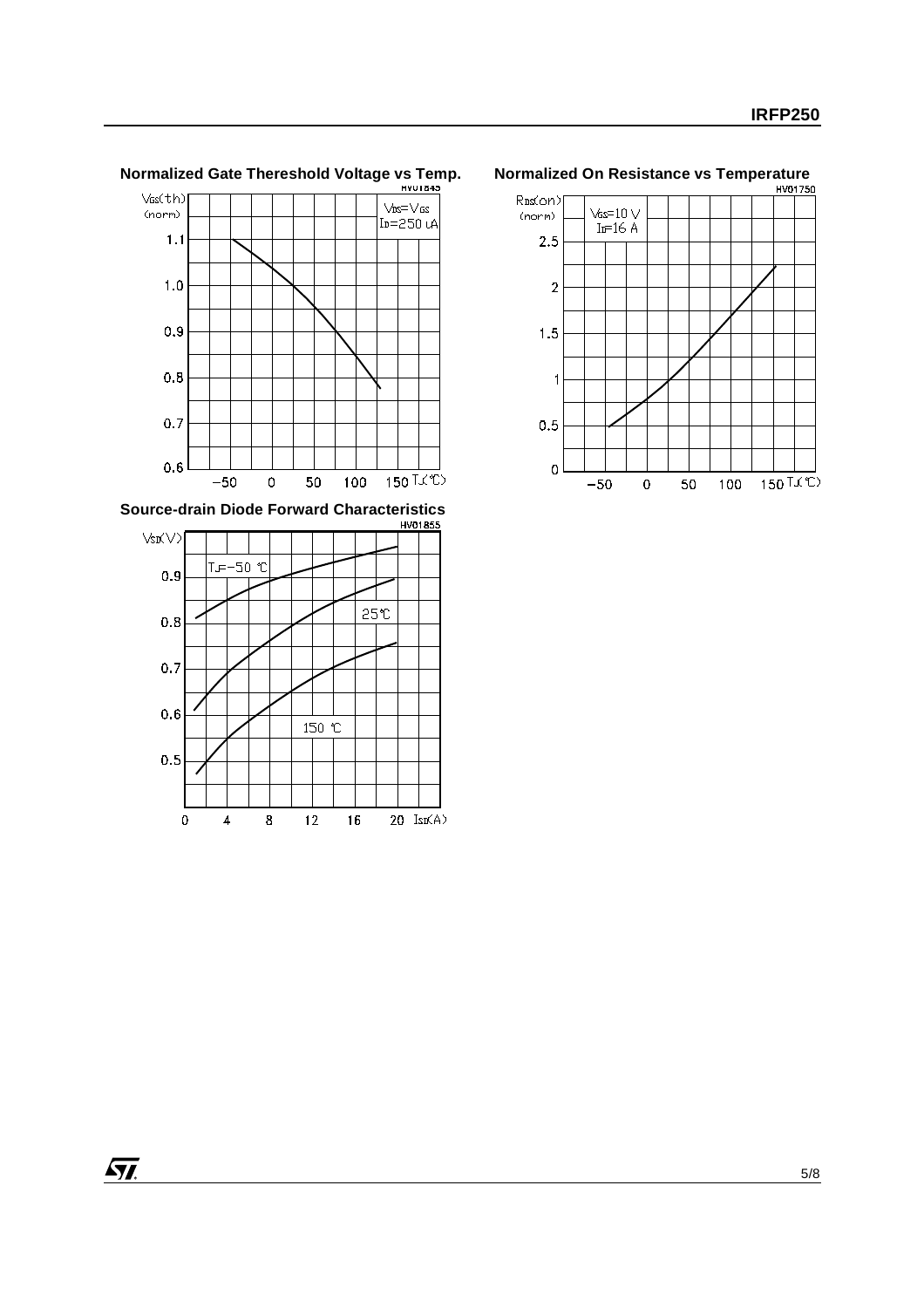

# **Normalized Gate Thereshold Voltage vs Temp. Normalized On Resistance vs Temperature**<br> **NO01750**



**Source-drain Diode Forward Characteristics**

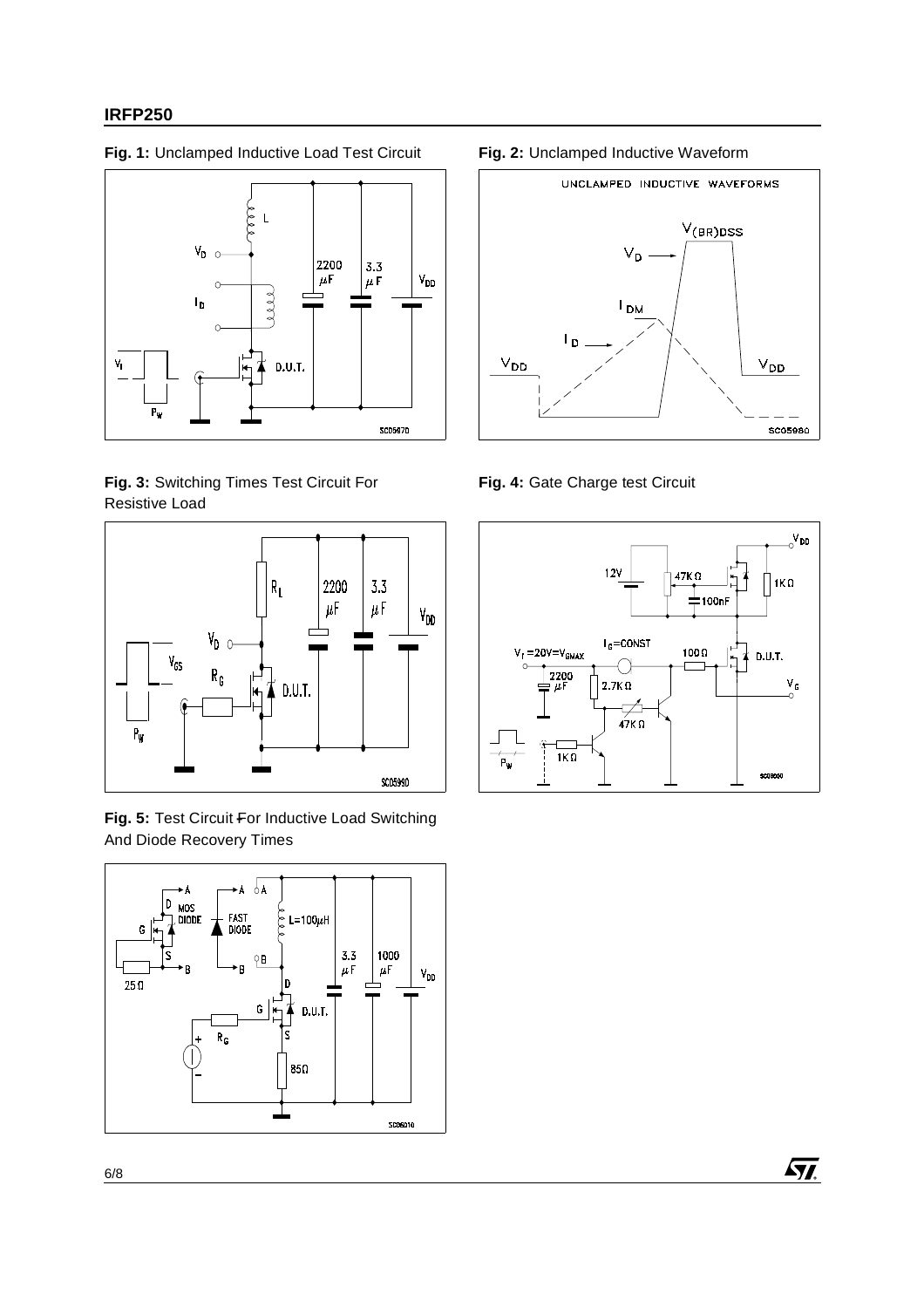### **IRFP250**

**Fig. 1:** Unclamped Inductive Load Test Circuit **Fig. 2:** Unclamped Inductive Waveform



**Fig. 3:** Switching Times Test Circuit For Resistive Load



**Fig. 5:** Test Circuit For Inductive Load Switching And Diode Recovery Times





**Fig. 4:** Gate Charge test Circuit

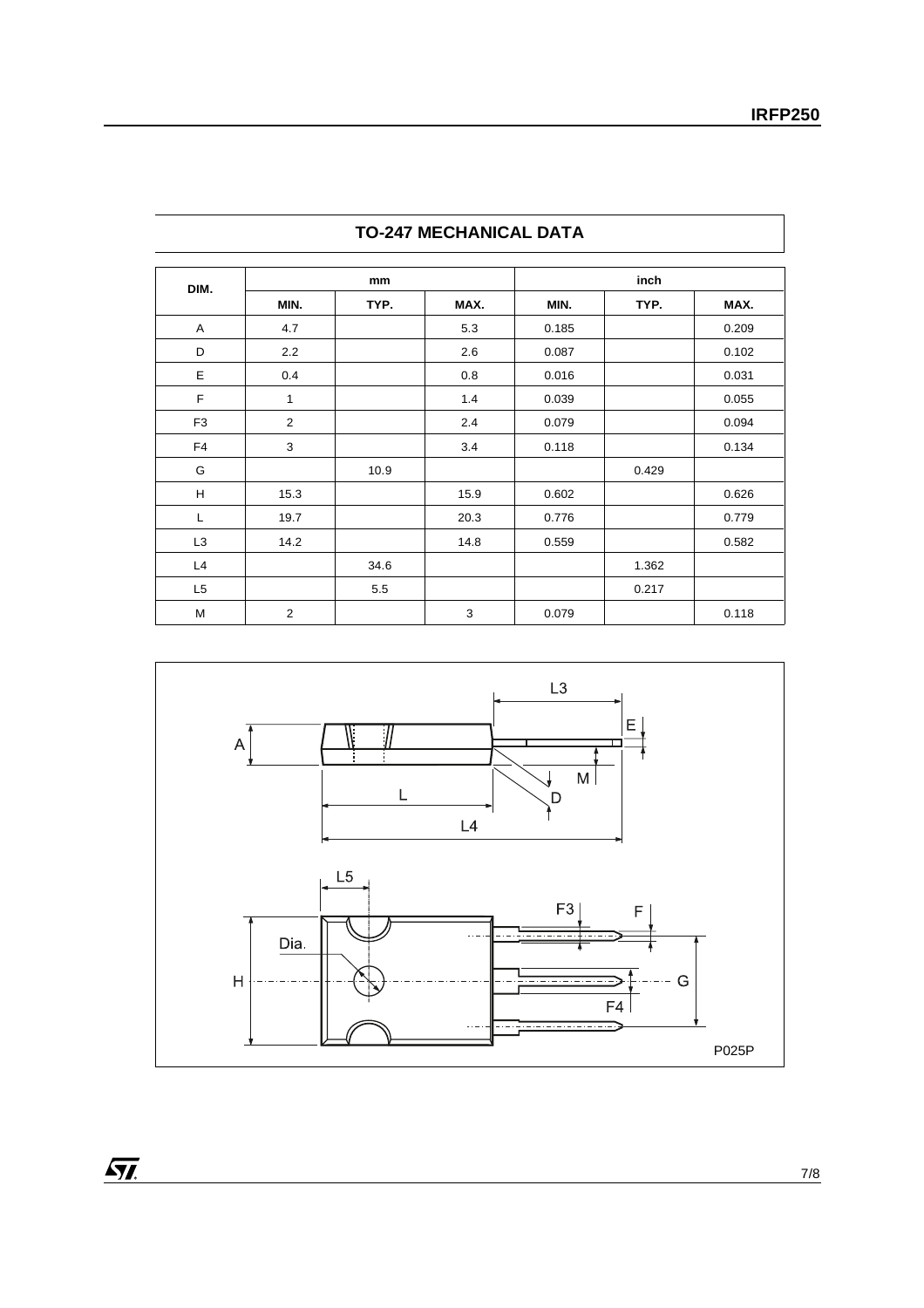|                |                |      |      |       | inch  |       |
|----------------|----------------|------|------|-------|-------|-------|
| DIM.           |                | mm   |      |       |       |       |
|                | MIN.           | TYP. | MAX. | MIN.  | TYP.  | MAX.  |
| A              | 4.7            |      | 5.3  | 0.185 |       | 0.209 |
| D              | 2.2            |      | 2.6  | 0.087 |       | 0.102 |
| Ε              | 0.4            |      | 0.8  | 0.016 |       | 0.031 |
| $\mathsf F$    | 1              |      | 1.4  | 0.039 |       | 0.055 |
| F <sub>3</sub> | 2              |      | 2.4  | 0.079 |       | 0.094 |
| F <sub>4</sub> | 3              |      | 3.4  | 0.118 |       | 0.134 |
| G              |                | 10.9 |      |       | 0.429 |       |
| H              | 15.3           |      | 15.9 | 0.602 |       | 0.626 |
| L              | 19.7           |      | 20.3 | 0.776 |       | 0.779 |
| L <sub>3</sub> | 14.2           |      | 14.8 | 0.559 |       | 0.582 |
| L4             |                | 34.6 |      |       | 1.362 |       |
| L <sub>5</sub> |                | 5.5  |      |       | 0.217 |       |
| M              | $\overline{2}$ |      | 3    | 0.079 |       | 0.118 |

## **TO-247 MECHANICAL DATA**



 $\overline{\mathbf{M}}$